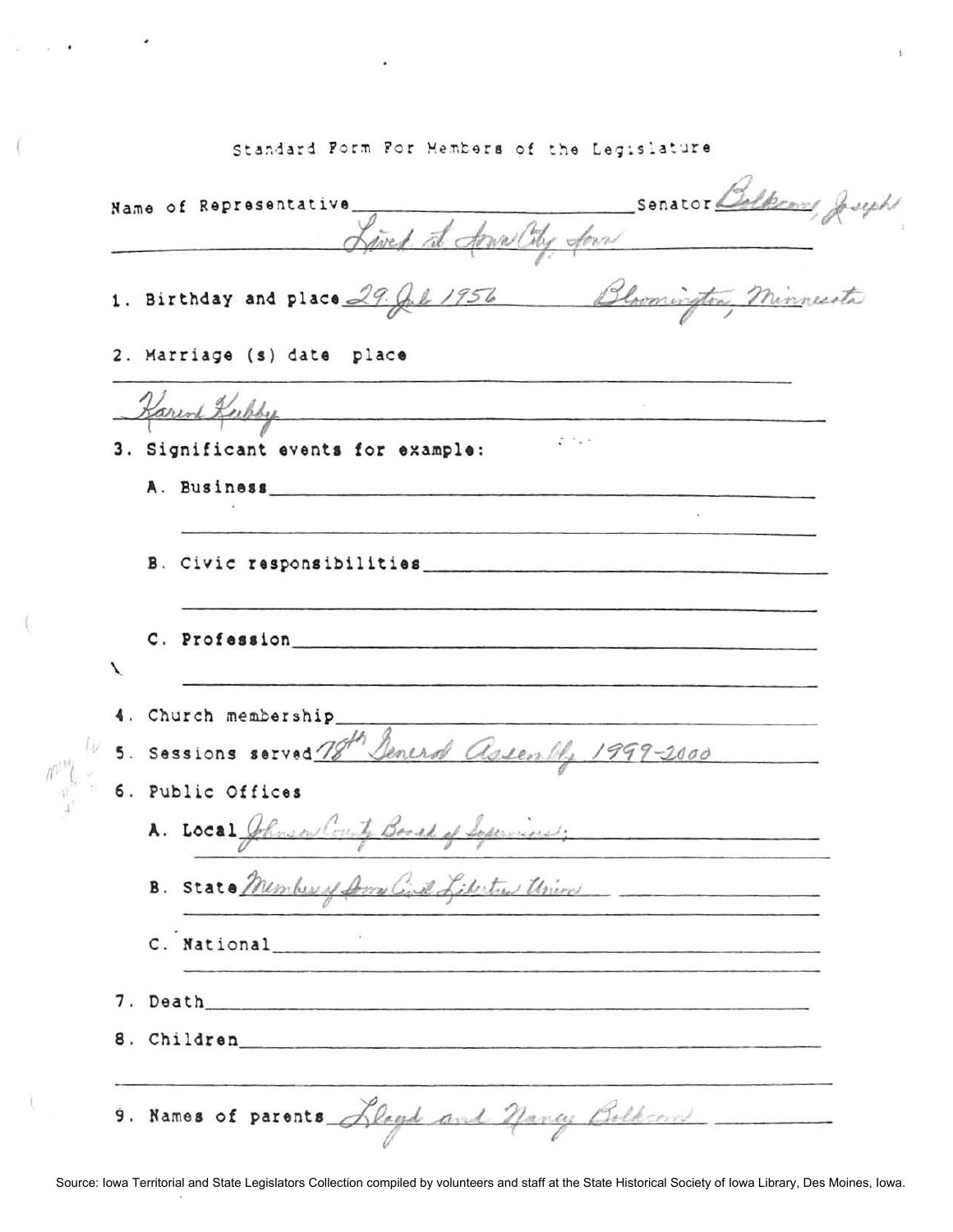Standard Form For Members of the Legislature

 $\overline{\mathcal{L}}$ 

 $\frac{1}{\left\langle f_{1},\ldots,f_{n}\right\rangle ^{2}}$ 

Ä,

ţ.

|   | Lived at Arwa City four                                                                                                                                                                                                        |
|---|--------------------------------------------------------------------------------------------------------------------------------------------------------------------------------------------------------------------------------|
|   | 1. Birthday and place 29. Jul 1956 Bloomington, Minnesota                                                                                                                                                                      |
|   | 2. Marriage (s) date place                                                                                                                                                                                                     |
|   | Harend Keepby                                                                                                                                                                                                                  |
|   | $2 - 1$<br>3. Significant events for example:                                                                                                                                                                                  |
|   | A. Business experiences                                                                                                                                                                                                        |
|   | B. Civic responsibilities                                                                                                                                                                                                      |
| ↖ | C. Profession that the contract of the contract of the contract of the contract of the contract of the contract of the contract of the contract of the contract of the contract of the contract of the contract of the contrac |
|   | 4. Church membership                                                                                                                                                                                                           |
|   | 5. Sessions served 78th Deneral assembly 1999-2000                                                                                                                                                                             |
|   | 6. Public Offices                                                                                                                                                                                                              |
|   | A. Local Johnson County Board of Separaines;                                                                                                                                                                                   |
|   | B. State Member of Down Civil Libertra Union                                                                                                                                                                                   |
|   | C. National Charles Communications of the Communication of the Communication of the Communication of the Communication of the Communication of the Communication of the Communication of the Communication of the Communicatio |
|   |                                                                                                                                                                                                                                |
|   | 8. Children 2008 and 2008 and 2008 and 2008 and 2008 and 2008 and 2008 and 2008 and 2008 and 2008 and 2008 and 2008 and 2008 and 2008 and 2008 and 2008 and 2008 and 2008 and 2008 and 2008 and 2008 and 2008 and 2008 and 200 |
|   | 9. Names of parents Lloyd and Nancy Bolkcon _____                                                                                                                                                                              |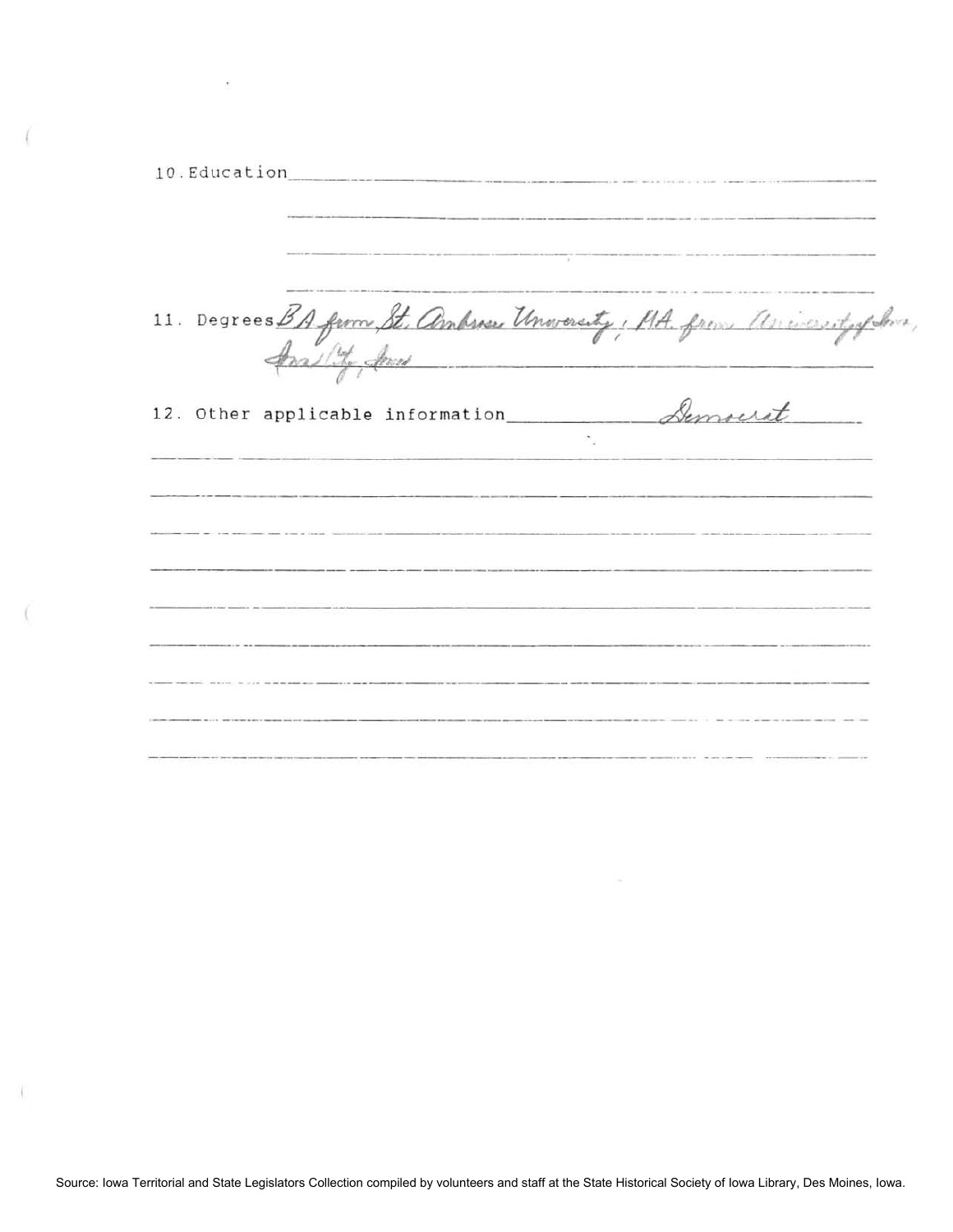| 10. Education <b>contraction</b> | -OUR CONTRACTOR CONTRACTOR CONTRACTOR CONTRACTOR CONTRACTOR CONTRACTOR CONTRACTOR                                                                                                                                              |  |
|----------------------------------|--------------------------------------------------------------------------------------------------------------------------------------------------------------------------------------------------------------------------------|--|
|                                  | 11. Degrees BA from St. Ambres Unworsty, MA. from aniesotyphia,                                                                                                                                                                |  |
|                                  | 12. Other applicable information Semocrat                                                                                                                                                                                      |  |
|                                  |                                                                                                                                                                                                                                |  |
|                                  | <u>se manifesto de la contrada del manifesto de la contrada de la contrada de la contrada de la contrada de la co</u>                                                                                                          |  |
|                                  | the contribution of the company of the contribution of the control of the control of the Control of the control of the control of the Control of the Control of the Control of the Control of the Control of the Control of th |  |
|                                  |                                                                                                                                                                                                                                |  |

 $\bar{\nu}$ 

 $\ddot{\phantom{0}}$ 

Í

 $\langle$ 

 $\langle$